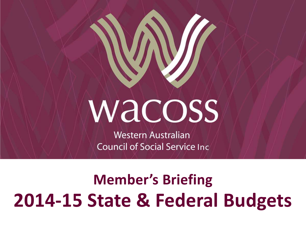# **WACOSS**

**Western Australian Council of Social Service Inc.** 

# **Member's Briefing 2014-15 State & Federal Budgets**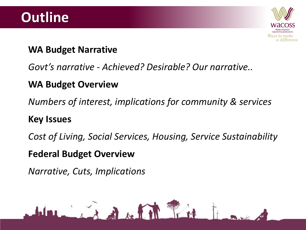

#### **WA Budget Narrative**

#### *Govt's narrative - Achieved? Desirable? Our narrative..*

#### **WA Budget Overview**

*Numbers of interest, implications for community & services*

#### **Key Issues**

*Cost of Living, Social Services, Housing, Service Sustainability*

#### **Federal Budget Overview**

*Narrative, Cuts, Implications*

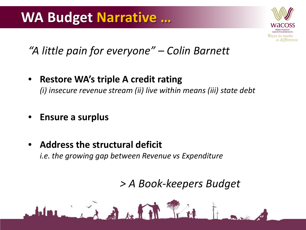### **WA Budget Narrative …**



#### *"A little pain for everyone" – Colin Barnett*

- **Restore WA's triple A credit rating** *(i) insecure revenue stream (ii) live within means (iii) state debt*
- **Ensure a surplus**
- **Address the structural deficit**  *i.e. the growing gap between Revenue vs Expenditure*

 $\mathbf{A}$  and  $\mathbf{A}$ 

*> A Book-keepers Budget*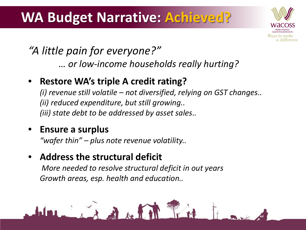### **WA Budget Narrative: Achieved?**



*"A little pain for everyone?" … or low-income households really hurting?*

#### • **Restore WA's triple A credit rating?**

*(i) revenue still volatile – not diversified, relying on GST changes.. (ii) reduced expenditure, but still growing.. (iii) state debt to be addressed by asset sales..*

#### • **Ensure a surplus**

*"wafer thin" – plus note revenue volatility..*

#### • **Address the structural deficit**

*More needed to resolve structural deficit in out years Growth areas, esp. health and education..*

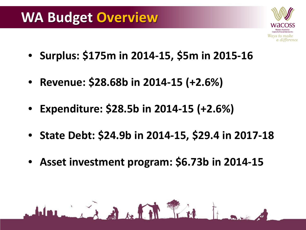### **WA Budget Overview**



- **Surplus: \$175m in 2014-15, \$5m in 2015-16**
- **Revenue: \$28.68b in 2014-15 (+2.6%)**
- **Expenditure: \$28.5b in 2014-15 (+2.6%)**
- **State Debt: \$24.9b in 2014-15, \$29.4 in 2017-18**
- **Asset investment program: \$6.73b in 2014-15**

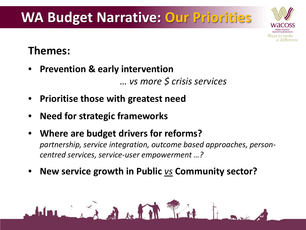## **WA Budget Narrative: Our Priorities**



#### **Themes:**

- **Prevention & early intervention**  *… vs more \$ crisis services*
- **Prioritise those with greatest need**
- **Need for strategic frameworks**
- **Where are budget drivers for reforms?** *partnership, service integration, outcome based approaches, personcentred services, service-user empowerment …?*
- **New service growth in Public** *vs* **Community sector?**

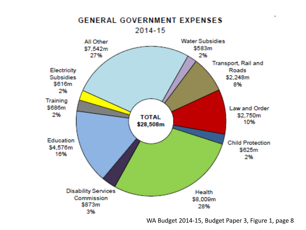

WA Budget 2014-15, Budget Paper 3, Figure 1, page 8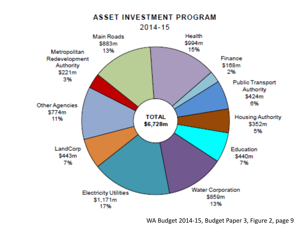

WA Budget 2014-15, Budget Paper 3, Figure 2, page 9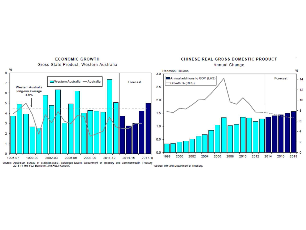

**ECONOMIC GROWTH** Gross State Product, Western Australia

#### CHINESE REAL GROSS DOMESTIC PRODUCT Annual Change

Source: IMF and Department of Treasury.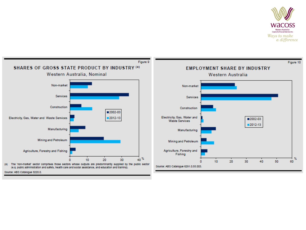

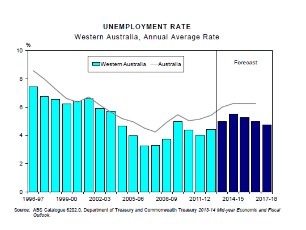#### **UNEMPLOYMENT RATE**

#### Western Australia, Annual Average Rate



Source: ABS Catalogue 6202.0, Department of Treasury and Commonwealth Treasury 2013-14 Mid-year Economic and Fiscal Outlook.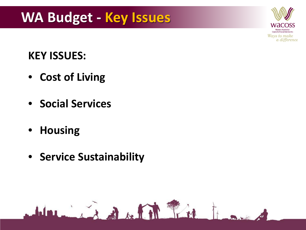

#### **KEY ISSUES:**

- **Cost of Living**
- **Social Services**
- **Housing**
- **Service Sustainability**

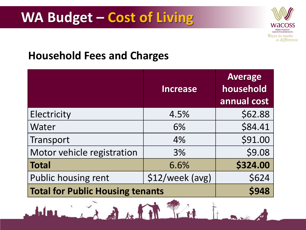

#### **Household Fees and Charges**

|                                         | <b>Increase</b>  | <b>Average</b><br>household<br>annual cost |
|-----------------------------------------|------------------|--------------------------------------------|
| Electricity                             | 4.5%             | \$62.88                                    |
| <b>Water</b>                            | 6%               | \$84.41                                    |
| Transport                               | 4%               | \$91.00                                    |
| Motor vehicle registration              | 3%               | \$9.08                                     |
| Total                                   | 6.6%             | \$324.00                                   |
| Public housing rent                     | $$12/week$ (avg) | \$624                                      |
| <b>Total for Public Housing tenants</b> |                  | <b>\$948</b>                               |

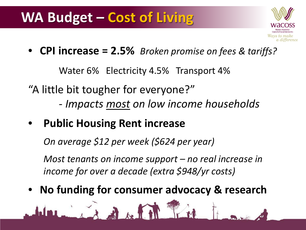### **WA Budget – Cost of Living**



• **CPI increase = 2.5%** *Broken promise on fees & tariffs?*

Water 6% Electricity 4.5% Transport 4%

"A little bit tougher for everyone?" *- Impacts most on low income households*

• **Public Housing Rent increase**

*On average \$12 per week (\$624 per year)*

 $\mathbf{A}$   $\mathbf{A}$ 

*Most tenants on income support – no real increase in income for over a decade (extra \$948/yr costs)*

• **No funding for consumer advocacy & research**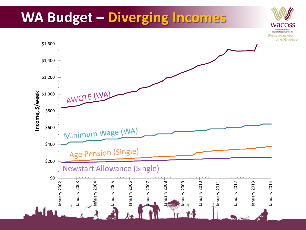### **WA Budget – Diverging Incomes**



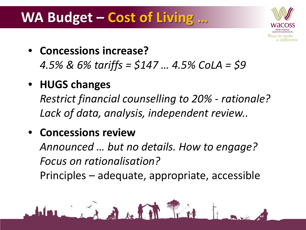### **WA Budget – Cost of Living …**



• **Concessions increase?**

*4.5% & 6% tariffs = \$147 … 4.5% CoLA = \$9* 

• **HUGS changes**

*Restrict financial counselling to 20% - rationale? Lack of data, analysis, independent review..*

#### • **Concessions review**

*Announced … but no details. How to engage? Focus on rationalisation?* Principles – adequate, appropriate, accessible

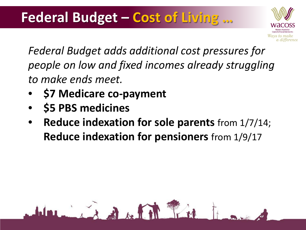### **Federal Budget – Cost of Living …**

 $\mathbf{A}$  of  $\mathbf{A}$ 



*Federal Budget adds additional cost pressures for people on low and fixed incomes already struggling to make ends meet.*

- **\$7 Medicare co-payment**
- **\$5 PBS medicines**
- **Reduce indexation for sole parents** from 1/7/14; **Reduce indexation for pensioners** from 1/9/17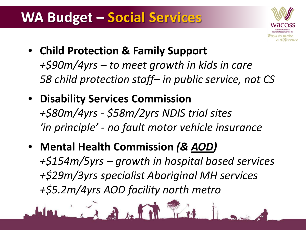### **WA Budget – Social Services**



- **Child Protection & Family Support** *+\$90m/4yrs – to meet growth in kids in care 58 child protection staff– in public service, not CS*
- **Disability Services Commission**  *+\$80m/4yrs - \$58m/2yrs NDIS trial sites*

*'in principle' - no fault motor vehicle insurance*

• **Mental Health Commission** *(& AOD) +\$154m/5yrs – growth in hospital based services +\$29m/3yrs specialist Aboriginal MH services +\$5.2m/4yrs AOD facility north metro*

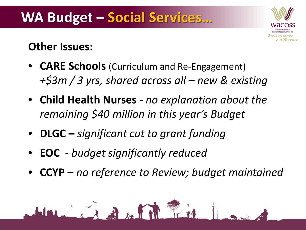

#### **Other Issues:**

- **CARE Schools** (Curriculum and Re-Engagement) *+\$3m / 3 yrs, shared across all – new & existing*
- **Child Health Nurses -** *no explanation about the remaining \$40 million in this year's Budget*
- **DLGC –** *significant cut to grant funding*

THE

- **EOC** *budget significantly reduced*
- **CCYP –** *no reference to Review; budget maintained*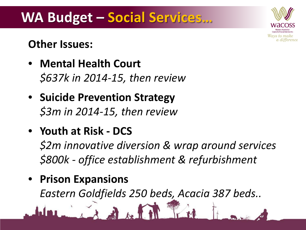

### **WA Budget – Social Services…**

#### **Other Issues:**

- **Mental Health Court** *\$637k in 2014-15, then review*
- **Suicide Prevention Strategy** *\$3m in 2014-15, then review*
- **Youth at Risk - DCS**

*\$2m innovative diversion & wrap around services \$800k - office establishment & refurbishment*

• **Prison Expansions**

*Eastern Goldfields 250 beds, Acacia 387 beds..*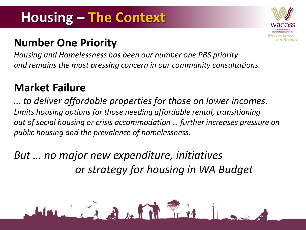### **Housing – The Context**

#### **Number One Priority**

*Housing and Homelessness has been our number one PBS priority and remains the most pressing concern in our community consultations.* Ways to make a difference

#### **Market Failure**

*… to deliver affordable properties for those on lower incomes. Limits housing options for those needing affordable rental, transitioning out of social housing or crisis accommodation … further increases pressure on public housing and the prevalence of homelessness.*

*But … no major new expenditure, initiatives or strategy for housing in WA Budget*

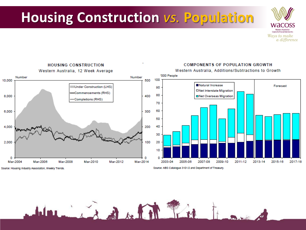### **Housing Construction** *vs.* **Population**





Source: Housing Industry Association, Weekly Trends.

Source: ABS Catalogue 3101.0 and Department of Treasury.

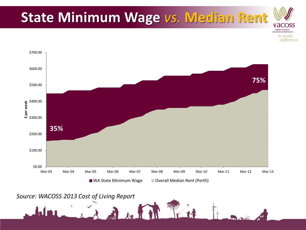

1 del 11 fil

*Source: WACOSS 2013 Cost of Living Report*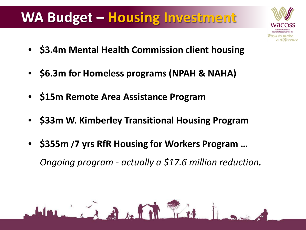### **WA Budget – Housing Investment**

• **\$3.4m Mental Health Commission client housing**

Ways to make a difference

- **\$6.3m for Homeless programs (NPAH & NAHA)**
- **\$15m Remote Area Assistance Program**
- **\$33m W. Kimberley Transitional Housing Program**
- **\$355m /7 yrs RfR Housing for Workers Program …**  *Ongoing program - actually a \$17.6 million reduction.*

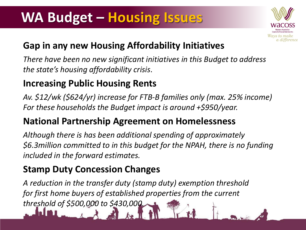### **WA Budget – Housing Issues**



#### **Gap in any new Housing Affordability Initiatives**

*There have been no new significant initiatives in this Budget to address the state's housing affordability crisis*.

#### **Increasing Public Housing Rents**

*Av. \$12/wk (\$624/yr) increase for FTB-B families only (max. 25% income) For these households the Budget impact is around +\$950/year.* 

#### **National Partnership Agreement on Homelessness**

*Although there is has been additional spending of approximately \$6.3million committed to in this budget for the NPAH, there is no funding included in the forward estimates.* 

#### **Stamp Duty Concession Changes**

*A reduction in the transfer duty (stamp duty) exemption threshold for first home buyers of established properties from the current threshold of \$500,000 to \$430,000.*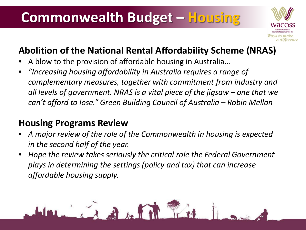### **Commonwealth Budget – Housing**



#### **Abolition of the National Rental Affordability Scheme (NRAS)**

- A blow to the provision of affordable housing in Australia…
- *"Increasing housing affordability in Australia requires a range of complementary measures, together with commitment from industry and all levels of government. NRAS is a vital piece of the jigsaw – one that we can't afford to lose." Green Building Council of Australia – Robin Mellon*

#### **Housing Programs Review**

- *A major review of the role of the Commonwealth in housing is expected in the second half of the year.*
- *Hope the review takes seriously the critical role the Federal Government plays in determining the settings (policy and tax) that can increase affordable housing supply.*

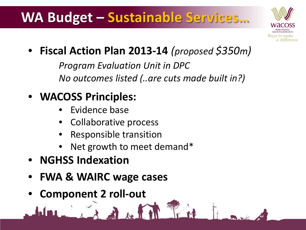### **WA Budget – Sustainable Services…**



• **Fiscal Action Plan 2013-14** *(proposed \$350m)*

*Program Evaluation Unit in DPC No outcomes listed (..are cuts made built in?)*

### • **WACOSS Principles:**

- Evidence base
- Collaborative process
- Responsible transition
- Net growth to meet demand\*
- **NGHSS Indexation**
- **FWA & WAIRC wage cases**
- **Component 2 roll-out**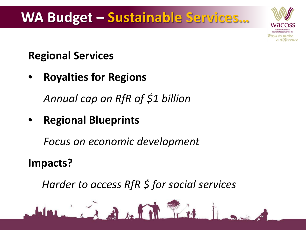### **WA Budget – Sustainable Services…**



#### **Regional Services**

• **Royalties for Regions** 

*Annual cap on RfR of \$1 billion*

• **Regional Blueprints** 

*Focus on economic development*

**Impacts?** 

*Harder to access RfR \$ for social services* 

 $A + B$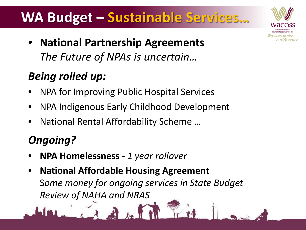### **WA Budget – Sustainable Services…**

Ways to make a difference

• **National Partnership Agreements** *The Future of NPAs is uncertain…* 

#### *Being rolled up:*

- NPA for Improving Public Hospital Services
- NPA Indigenous Early Childhood Development
- National Rental Affordability Scheme …

### *Ongoing?*

j

- **NPA Homelessness -** *1 year rollover*
- **National Affordable Housing Agreement** S*ome money for ongoing services in State Budget Review of NAHA and NRAS*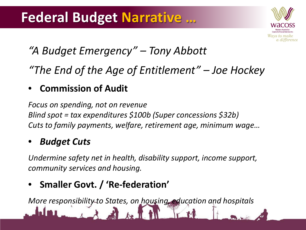### **Federal Budget Narrative …**



### *"A Budget Emergency" – Tony Abbott*

*"The End of the Age of Entitlement" – Joe Hockey*

#### • **Commission of Audit**

*Focus on spending, not on revenue Blind spot = tax expenditures \$100b (Super concessions \$32b) Cuts to family payments, welfare, retirement age, minimum wage…*

#### • *Budget Cuts*

*Undermine safety net in health, disability support, income support, community services and housing.* 

#### • **Smaller Govt. / 'Re-federation'**

*More responsibility to States, on housing, education and hospitals*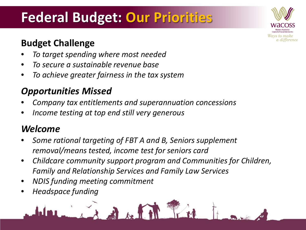### **Federal Budget: Our Priorities**

#### **Budget Challenge**

- *To target spending where most needed*
- *To secure a sustainable revenue base*
- *To achieve greater fairness in the tax system*

#### *Opportunities Missed*

- *Company tax entitlements and superannuation concessions*
- *Income testing at top end still very generous*

#### *Welcome*

- *Some rational targeting of FBT A and B, Seniors supplement removal/means tested, income test for seniors card*
- *Childcare community support program and Communities for Children, Family and Relationship Services and Family Law Services*
- *NDIS funding meeting commitment*
- *Headspace funding*



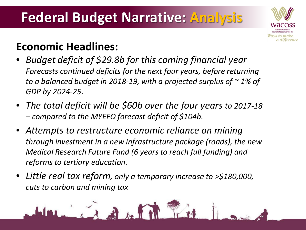

#### **Economic Headlines:**

- *Budget deficit of \$29.8b for this coming financial year Forecasts continued deficits for the next four years, before returning to a balanced budget in 2018-19, with a projected surplus of ~ 1% of GDP by 2024-25.*
- *The total deficit will be \$60b over the four years to 2017-18 – compared to the MYEFO forecast deficit of \$104b.*
- *Attempts to restructure economic reliance on mining through investment in a new infrastructure package (roads), the new Medical Research Future Fund (6 years to reach full funding) and reforms to tertiary education.*
- *Little real tax reform, only a temporary increase to >\$180,000, cuts to carbon and mining tax*

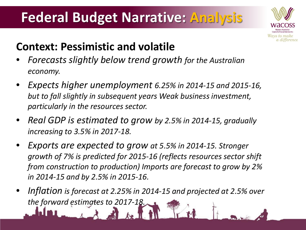

#### **Context: Pessimistic and volatile**

- *Forecasts slightly below trend growth for the Australian economy.*
- *Expects higher unemployment 6.25% in 2014-15 and 2015-16, but to fall slightly in subsequent years Weak business investment, particularly in the resources sector.*
- *Real GDP is estimated to grow by 2.5% in 2014-15, gradually increasing to 3.5% in 2017-18.*
- *Exports are expected to grow at 5.5% in 2014-15. Stronger growth of 7% is predicted for 2015-16 (reflects resources sector shift from construction to production) Imports are forecast to grow by 2% in 2014-15 and by 2.5% in 2015-16.*
- *Inflation is forecast at 2.25% in 2014-15 and projected at 2.5% over the forward estimates to 2017-18.*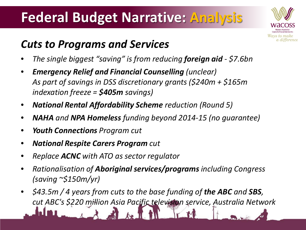

#### *Cuts to Programs and Services*

- *The single biggest "saving" is from reducing foreign aid - \$7.6bn*
- *Emergency Relief and Financial Counselling (unclear) As part of savings in DSS discretionary grants (\$240m + \$165m indexation freeze = \$405m savings)*
- *National Rental Affordability Scheme reduction (Round 5)*
- *NAHA and NPA Homeless funding beyond 2014-15 (no guarantee)*
- *Youth Connections Program cut*
- *National Respite Carers Program cut*
- *Replace ACNC with ATO as sector regulator*
- *Rationalisation of Aboriginal services/programs including Congress (saving ~\$150m/yr)*
- *\$43.5m / 4 years from cuts to the base funding of the ABC and SBS, cut ABC's \$220 million Asia Pacific television service, Australia Network*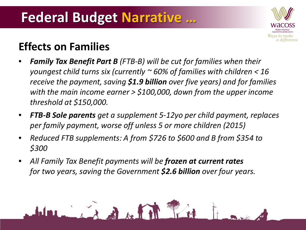### **Federal Budget Narrative …**



#### **Effects on Families**

- *Family Tax Benefit Part B (FTB-B) will be cut for families when their youngest child turns six (currently ~ 60% of families with children < 16 receive the payment, saving \$1.9 billion over five years) and for families with the main income earner > \$100,000, down from the upper income threshold at \$150,000.*
- *FTB-B Sole parents get a supplement 5-12yo per child payment, replaces per family payment, worse off unless 5 or more children (2015)*
- *Reduced FTB supplements: A from \$726 to \$600 and B from \$354 to \$300*
- *All Family Tax Benefit payments will be frozen at current rates for two years, saving the Government \$2.6 billion over four years.*

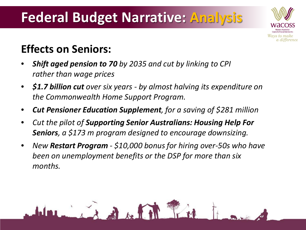

#### **Effects on Seniors:**

- *Shift aged pension to 70 by 2035 and cut by linking to CPI rather than wage prices*
- *\$1.7 billion cut over six years - by almost halving its expenditure on the Commonwealth Home Support Program.*
- *Cut Pensioner Education Supplement, for a saving of \$281 million*
- *Cut the pilot of Supporting Senior Australians: Housing Help For Seniors, a \$173 m program designed to encourage downsizing.*

 $\mathbf{A} + \mathbf{A}$ 

• *New Restart Program - \$10,000 bonus for hiring over-50s who have been on unemployment benefits or the DSP for more than six months.*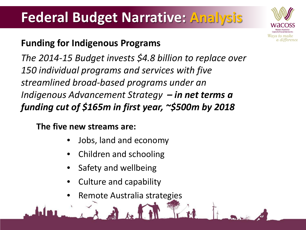

#### **Funding for Indigenous Programs**

*The 2014-15 Budget invests \$4.8 billion to replace over 150 individual programs and services with five streamlined broad-based programs under an Indigenous Advancement Strategy – in net terms a funding cut of \$165m in first year, ~\$500m by 2018*

**The five new streams are:**

- Jobs, land and economy
- Children and schooling
- Safety and wellbeing
- Culture and capability
- Remote Australia strategies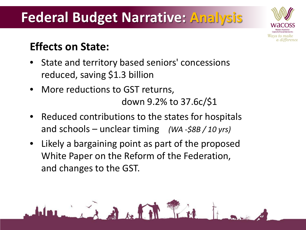

#### **Effects on State:**

- State and territory based seniors' concessions reduced, saving \$1.3 billion
- More reductions to GST returns, down 9.2% to 37.6c/\$1

 $\mathbb{R}$  if it is the time

- Reduced contributions to the states for hospitals and schools – unclear timing *(WA -\$8B / 10 yrs)*
- Likely a bargaining point as part of the proposed White Paper on the Reform of the Federation, and changes to the GST.